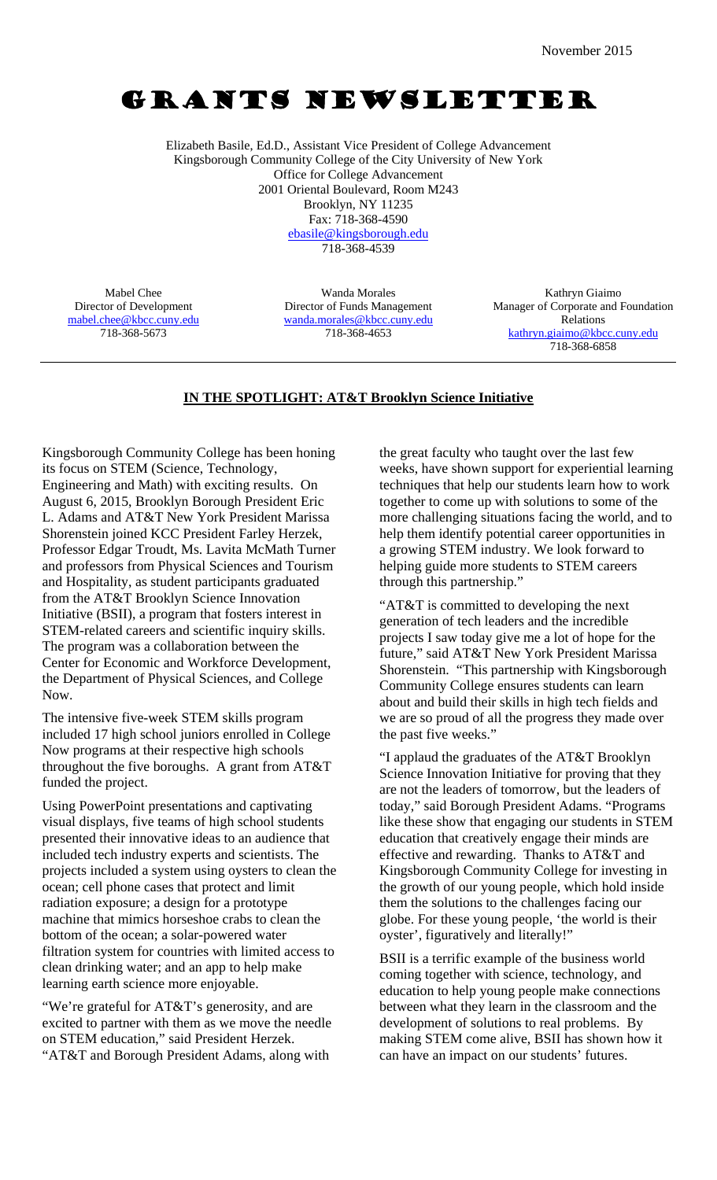# GRANTS NEWSLETTER

Elizabeth Basile, Ed.D., Assistant Vice President of College Advancement Kingsborough Community College of the City University of New York Office for College Advancement 2001 Oriental Boulevard, Room M243 Brooklyn, NY 11235 Fax: 718-368-4590 ebasile@kingsborough.edu 718-368-4539

Mabel Chee Director of Development mabel.chee@kbcc.cuny.edu 718-368-5673

Wanda Morales Director of Funds Management wanda.morales@kbcc.cuny.edu 718-368-4653

Kathryn Giaimo Manager of Corporate and Foundation Relations kathryn.giaimo@kbcc.cuny.edu 718-368-6858

### **IN THE SPOTLIGHT: AT&T Brooklyn Science Initiative**

Kingsborough Community College has been honing its focus on STEM (Science, Technology, Engineering and Math) with exciting results. On August 6, 2015, Brooklyn Borough President Eric L. Adams and AT&T New York President Marissa Shorenstein joined KCC President Farley Herzek, Professor Edgar Troudt, Ms. Lavita McMath Turner and professors from Physical Sciences and Tourism and Hospitality, as student participants graduated from the AT&T Brooklyn Science Innovation Initiative (BSII), a program that fosters interest in STEM-related careers and scientific inquiry skills. The program was a collaboration between the Center for Economic and Workforce Development, the Department of Physical Sciences, and College Now.

The intensive five-week STEM skills program included 17 high school juniors enrolled in College Now programs at their respective high schools throughout the five boroughs. A grant from AT&T funded the project.

Using PowerPoint presentations and captivating visual displays, five teams of high school students presented their innovative ideas to an audience that included tech industry experts and scientists. The projects included a system using oysters to clean the ocean; cell phone cases that protect and limit radiation exposure; a design for a prototype machine that mimics horseshoe crabs to clean the bottom of the ocean; a solar-powered water filtration system for countries with limited access to clean drinking water; and an app to help make learning earth science more enjoyable.

"We're grateful for AT&T's generosity, and are excited to partner with them as we move the needle on STEM education," said President Herzek. "AT&T and Borough President Adams, along with

the great faculty who taught over the last few weeks, have shown support for experiential learning techniques that help our students learn how to work together to come up with solutions to some of the more challenging situations facing the world, and to help them identify potential career opportunities in a growing STEM industry. We look forward to helping guide more students to STEM careers through this partnership."

"AT&T is committed to developing the next generation of tech leaders and the incredible projects I saw today give me a lot of hope for the future," said AT&T New York President Marissa Shorenstein. "This partnership with Kingsborough Community College ensures students can learn about and build their skills in high tech fields and we are so proud of all the progress they made over the past five weeks."

"I applaud the graduates of the AT&T Brooklyn Science Innovation Initiative for proving that they are not the leaders of tomorrow, but the leaders of today," said Borough President Adams. "Programs like these show that engaging our students in STEM education that creatively engage their minds are effective and rewarding. Thanks to AT&T and Kingsborough Community College for investing in the growth of our young people, which hold inside them the solutions to the challenges facing our globe. For these young people, 'the world is their oyster', figuratively and literally!"

BSII is a terrific example of the business world coming together with science, technology, and education to help young people make connections between what they learn in the classroom and the development of solutions to real problems. By making STEM come alive, BSII has shown how it can have an impact on our students' futures.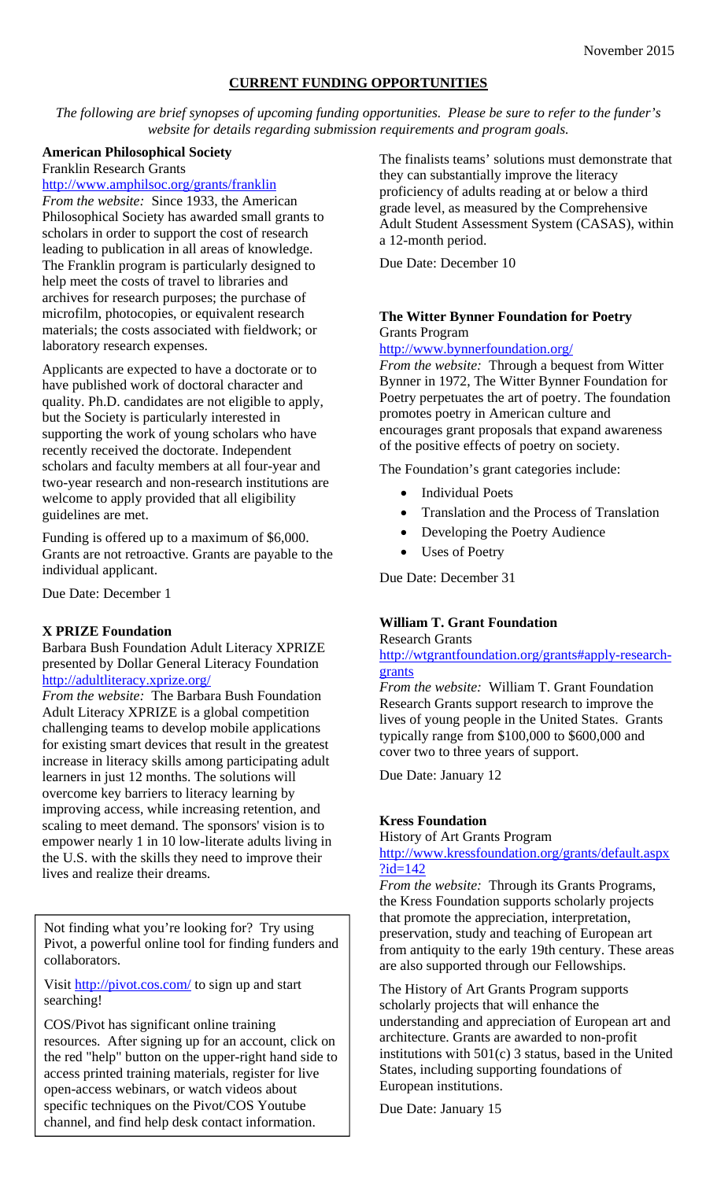### **CURRENT FUNDING OPPORTUNITIES**

*The following are brief synopses of upcoming funding opportunities. Please be sure to refer to the funder's website for details regarding submission requirements and program goals.* 

### **American Philosophical Society**

Franklin Research Grants

### http://www.amphilsoc.org/grants/franklin

*From the website:* Since 1933, the American Philosophical Society has awarded small grants to scholars in order to support the cost of research leading to publication in all areas of knowledge. The Franklin program is particularly designed to help meet the costs of travel to libraries and archives for research purposes; the purchase of microfilm, photocopies, or equivalent research materials; the costs associated with fieldwork; or laboratory research expenses.

Applicants are expected to have a doctorate or to have published work of doctoral character and quality. Ph.D. candidates are not eligible to apply, but the Society is particularly interested in supporting the work of young scholars who have recently received the doctorate. Independent scholars and faculty members at all four-year and two-year research and non-research institutions are welcome to apply provided that all eligibility guidelines are met.

Funding is offered up to a maximum of \$6,000. Grants are not retroactive. Grants are payable to the individual applicant.

Due Date: December 1

### **X PRIZE Foundation**

Barbara Bush Foundation Adult Literacy XPRIZE presented by Dollar General Literacy Foundation http://adultliteracy.xprize.org/

*From the website:* The Barbara Bush Foundation Adult Literacy XPRIZE is a global competition challenging teams to develop mobile applications for existing smart devices that result in the greatest increase in literacy skills among participating adult learners in just 12 months. The solutions will overcome key barriers to literacy learning by improving access, while increasing retention, and scaling to meet demand. The sponsors' vision is to empower nearly 1 in 10 low-literate adults living in the U.S. with the skills they need to improve their lives and realize their dreams.

Not finding what you're looking for? Try using Pivot, a powerful online tool for finding funders and collaborators.

Visit http://pivot.cos.com/ to sign up and start searching!

COS/Pivot has significant online training resources. After signing up for an account, click on the red "help" button on the upper-right hand side to access printed training materials, register for live open-access webinars, or watch videos about specific techniques on the Pivot/COS Youtube channel, and find help desk contact information.

The finalists teams' solutions must demonstrate that they can substantially improve the literacy proficiency of adults reading at or below a third grade level, as measured by the Comprehensive Adult Student Assessment System (CASAS), within a 12-month period.

Due Date: December 10

### **The Witter Bynner Foundation for Poetry**  Grants Program

#### http://www.bynnerfoundation.org/

*From the website:* Through a bequest from Witter Bynner in 1972, The Witter Bynner Foundation for Poetry perpetuates the art of poetry. The foundation promotes poetry in American culture and encourages grant proposals that expand awareness of the positive effects of poetry on society.

The Foundation's grant categories include:

- Individual Poets
- Translation and the Process of Translation
- Developing the Poetry Audience
- Uses of Poetry

Due Date: December 31

### **William T. Grant Foundation**

Research Grants

http://wtgrantfoundation.org/grants#apply-researchgrants

*From the website:* William T. Grant Foundation Research Grants support research to improve the lives of young people in the United States. Grants typically range from \$100,000 to \$600,000 and cover two to three years of support.

Due Date: January 12

### **Kress Foundation**

History of Art Grants Program

http://www.kressfoundation.org/grants/default.aspx ?id=142

*From the website:* Through its Grants Programs, the Kress Foundation supports scholarly projects that promote the appreciation, interpretation, preservation, study and teaching of European art from antiquity to the early 19th century. These areas are also supported through our Fellowships.

The History of Art Grants Program supports scholarly projects that will enhance the understanding and appreciation of European art and architecture. Grants are awarded to non-profit institutions with 501(c) 3 status, based in the United States, including supporting foundations of European institutions.

Due Date: January 15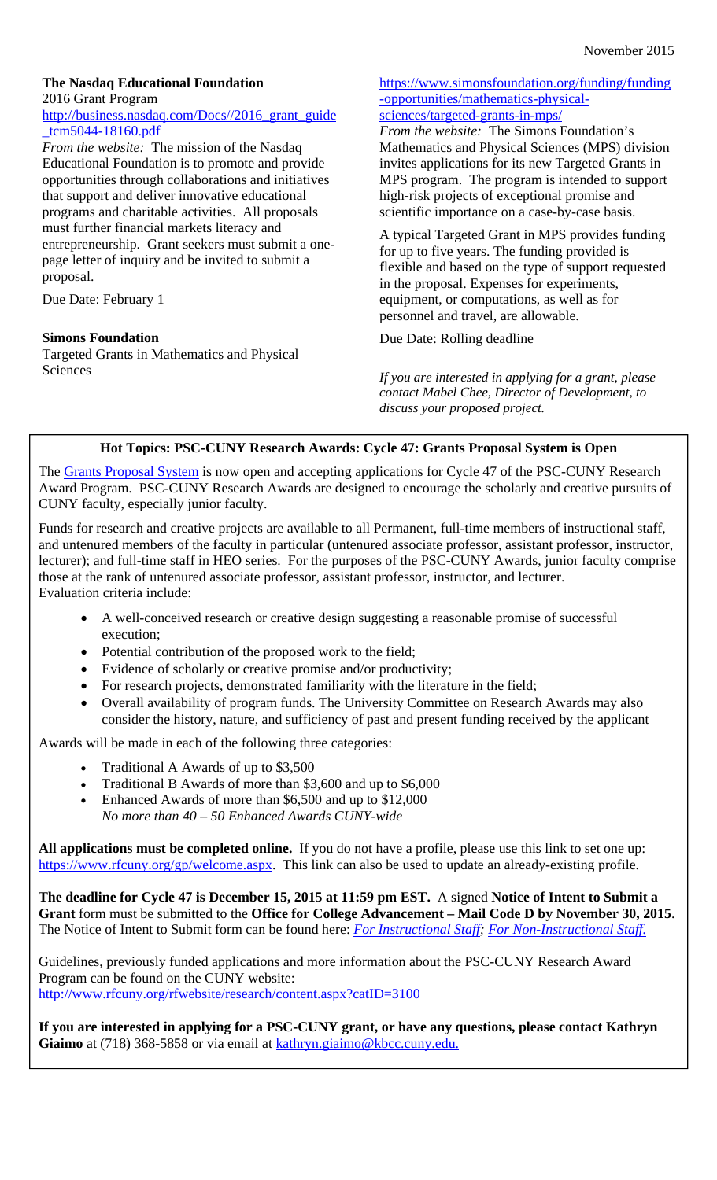### **The Nasdaq Educational Foundation**  2016 Grant Program

### http://business.nasdaq.com/Docs//2016\_grant\_guide \_tcm5044-18160.pdf

*From the website:* The mission of the Nasdaq Educational Foundation is to promote and provide opportunities through collaborations and initiatives that support and deliver innovative educational programs and charitable activities. All proposals must further financial markets literacy and entrepreneurship. Grant seekers must submit a onepage letter of inquiry and be invited to submit a proposal.

Due Date: February 1

## **Simons Foundation**

Targeted Grants in Mathematics and Physical Sciences

### https://www.simonsfoundation.org/funding/funding -opportunities/mathematics-physicalsciences/targeted-grants-in-mps/

*From the website:* The Simons Foundation's Mathematics and Physical Sciences (MPS) division invites applications for its new Targeted Grants in MPS program. The program is intended to support high-risk projects of exceptional promise and scientific importance on a case-by-case basis.

A typical Targeted Grant in MPS provides funding for up to five years. The funding provided is flexible and based on the type of support requested in the proposal. Expenses for experiments, equipment, or computations, as well as for personnel and travel, are allowable.

Due Date: Rolling deadline

*If you are interested in applying for a grant, please contact Mabel Chee, Director of Development, to discuss your proposed project.* 

## **Hot Topics: PSC-CUNY Research Awards: Cycle 47: Grants Proposal System is Open**

The Grants Proposal System is now open and accepting applications for Cycle 47 of the PSC-CUNY Research Award Program. PSC-CUNY Research Awards are designed to encourage the scholarly and creative pursuits of CUNY faculty, especially junior faculty.

Funds for research and creative projects are available to all Permanent, full-time members of instructional staff, and untenured members of the faculty in particular (untenured associate professor, assistant professor, instructor, lecturer); and full-time staff in HEO series. For the purposes of the PSC-CUNY Awards, junior faculty comprise those at the rank of untenured associate professor, assistant professor, instructor, and lecturer. Evaluation criteria include:

- A well-conceived research or creative design suggesting a reasonable promise of successful execution;
- Potential contribution of the proposed work to the field;
- Evidence of scholarly or creative promise and/or productivity;
- For research projects, demonstrated familiarity with the literature in the field;
- Overall availability of program funds. The University Committee on Research Awards may also consider the history, nature, and sufficiency of past and present funding received by the applicant

Awards will be made in each of the following three categories:

- Traditional A Awards of up to \$3,500
- Traditional B Awards of more than \$3,600 and up to \$6,000
- Enhanced Awards of more than \$6,500 and up to \$12,000 *No more than 40 – 50 Enhanced Awards CUNY-wide*

**All applications must be completed online.** If you do not have a profile, please use this link to set one up: https://www.rfcuny.org/gp/welcome.aspx. This link can also be used to update an already-existing profile.

**The deadline for Cycle 47 is December 15, 2015 at 11:59 pm EST.** A signed **Notice of Intent to Submit a Grant** form must be submitted to the **Office for College Advancement – Mail Code D by November 30, 2015**. The Notice of Intent to Submit form can be found here: *For Instructional Staff; For Non-Instructional Staff.*

Guidelines, previously funded applications and more information about the PSC-CUNY Research Award Program can be found on the CUNY website: http://www.rfcuny.org/rfwebsite/research/content.aspx?catID=3100

**If you are interested in applying for a PSC-CUNY grant, or have any questions, please contact Kathryn**  Giaimo at (718) 368-5858 or via email at kathryn.giaimo@kbcc.cuny.edu.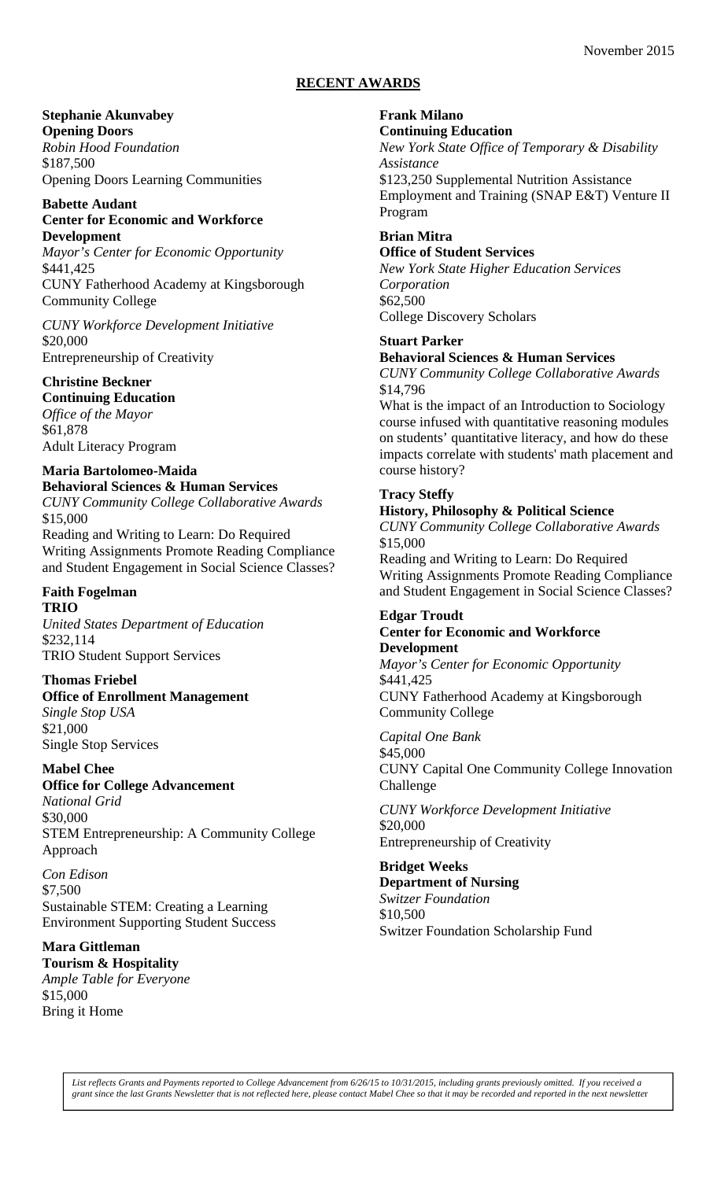### **RECENT AWARDS**

# **Stephanie Akunvabey**

**Opening Doors**  *Robin Hood Foundation*  \$187,500 Opening Doors Learning Communities

### **Babette Audant Center for Economic and Workforce Development**

*Mayor's Center for Economic Opportunity*  \$441,425 CUNY Fatherhood Academy at Kingsborough

Community College

*CUNY Workforce Development Initiative*  \$20,000 Entrepreneurship of Creativity

# **Christine Beckner**

**Continuing Education**  *Office of the Mayor*  \$61,878 Adult Literacy Program

# **Maria Bartolomeo-Maida**

**Behavioral Sciences & Human Services**  *CUNY Community College Collaborative Awards*  \$15,000 Reading and Writing to Learn: Do Required Writing Assignments Promote Reading Compliance and Student Engagement in Social Science Classes?

# **Faith Fogelman**

### **TRIO**

*United States Department of Education*  \$232,114 TRIO Student Support Services

## **Thomas Friebel**

# **Office of Enrollment Management**  *Single Stop USA*

\$21,000 Single Stop Services

## **Mabel Chee**

**Office for College Advancement** 

*National Grid*  \$30,000 STEM Entrepreneurship: A Community College Approach

*Con Edison*  \$7,500 Sustainable STEM: Creating a Learning Environment Supporting Student Success

## **Mara Gittleman**

**Tourism & Hospitality**  *Ample Table for Everyone*  \$15,000 Bring it Home

# **Frank Milano**

# **Continuing Education**

*New York State Office of Temporary & Disability Assistance*  \$123,250 Supplemental Nutrition Assistance

Employment and Training (SNAP E&T) Venture II Program

#### **Brian Mitra Office of Student Services**

*New York State Higher Education Services Corporation*  \$62,500 College Discovery Scholars

### **Stuart Parker**

### **Behavioral Sciences & Human Services**

*CUNY Community College Collaborative Awards*  \$14,796

What is the impact of an Introduction to Sociology course infused with quantitative reasoning modules on students' quantitative literacy, and how do these impacts correlate with students' math placement and course history?

# **Tracy Steffy**

### **History, Philosophy & Political Science**

*CUNY Community College Collaborative Awards*  \$15,000

Reading and Writing to Learn: Do Required Writing Assignments Promote Reading Compliance and Student Engagement in Social Science Classes?

#### **Edgar Troudt Center for Economic and Workforce Development**

*Mayor's Center for Economic Opportunity*  \$441,425 CUNY Fatherhood Academy at Kingsborough Community College

*Capital One Bank*  \$45,000 CUNY Capital One Community College Innovation Challenge

*CUNY Workforce Development Initiative*  \$20,000 Entrepreneurship of Creativity

# **Bridget Weeks**

**Department of Nursing**  *Switzer Foundation*  \$10,500 Switzer Foundation Scholarship Fund

*List reflects Grants and Payments reported to College Advancement from 6/26/15 to 10/31/2015, including grants previously omitted. If you received a grant since the last Grants Newsletter that is not reflected here, please contact Mabel Chee so that it may be recorded and reported in the next newslette*r